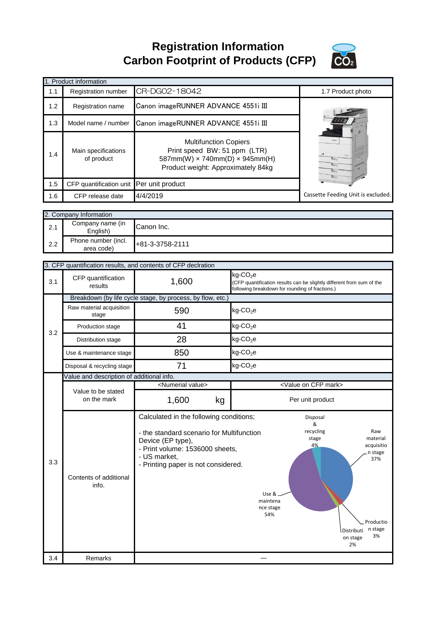**Registration Information Carbon Footprint of Products (CFP)**



|     | 1. Product information                    |                                                                                                                                              |                                                                         |                                                                                       |  |
|-----|-------------------------------------------|----------------------------------------------------------------------------------------------------------------------------------------------|-------------------------------------------------------------------------|---------------------------------------------------------------------------------------|--|
| 1.1 | Registration number                       | CR-DG02-18042                                                                                                                                |                                                                         | 1.7 Product photo                                                                     |  |
| 1.2 | Registration name                         | Canon imageRUNNER ADVANCE 4551i III                                                                                                          |                                                                         |                                                                                       |  |
| 1.3 | Model name / number                       | Canon imageRUNNER ADVANCE 4551i III                                                                                                          |                                                                         |                                                                                       |  |
| 1.4 | Main specifications<br>of product         | <b>Multifunction Copiers</b><br>Print speed BW: 51 ppm (LTR)<br>587mm(W) x 740mm(D) x 945mm(H)<br>Product weight: Approximately 84kg         |                                                                         |                                                                                       |  |
| 1.5 | CFP quantification unit Per unit product  |                                                                                                                                              |                                                                         |                                                                                       |  |
| 1.6 | CFP release date                          | 4/4/2019                                                                                                                                     |                                                                         | Cassette Feeding Unit is excluded.                                                    |  |
|     |                                           |                                                                                                                                              |                                                                         |                                                                                       |  |
|     | 2. Company Information                    |                                                                                                                                              |                                                                         |                                                                                       |  |
| 2.1 | Company name (in<br>English)              | Canon Inc.                                                                                                                                   |                                                                         |                                                                                       |  |
| 2.2 | Phone number (incl.<br>area code)         | +81-3-3758-2111                                                                                                                              |                                                                         |                                                                                       |  |
|     |                                           | 3. CFP quantification results, and contents of CFP declration                                                                                |                                                                         |                                                                                       |  |
| 3.1 | CFP quantification<br>results             | 1,600                                                                                                                                        | kg-CO <sub>2</sub> e<br>following breakdown for rounding of fractions.) | (CFP quantification results can be slightly different from sum of the                 |  |
|     |                                           | Breakdown (by life cycle stage, by process, by flow, etc.)                                                                                   |                                                                         |                                                                                       |  |
|     | Raw material acquisition<br>stage         | 590                                                                                                                                          | $kg$ -CO <sub>2</sub> e                                                 |                                                                                       |  |
|     | Production stage                          | 41                                                                                                                                           | $kg$ -CO <sub>2</sub> e                                                 |                                                                                       |  |
| 3.2 | Distribution stage                        | 28                                                                                                                                           | $kg$ -CO <sub>2</sub> e                                                 |                                                                                       |  |
|     | Use & maintenance stage                   | 850                                                                                                                                          | $kg$ -CO <sub>2</sub> e                                                 |                                                                                       |  |
|     | Disposal & recycling stage                | 71                                                                                                                                           | $kg$ -CO <sub>2</sub> e                                                 |                                                                                       |  |
|     | Value and description of additional info. |                                                                                                                                              |                                                                         |                                                                                       |  |
|     |                                           | <numerial value=""></numerial>                                                                                                               |                                                                         | <value cfp="" mark="" on=""></value>                                                  |  |
|     | Value to be stated<br>on the mark         | 1,600<br>kg                                                                                                                                  |                                                                         | Per unit product                                                                      |  |
| 3.3 |                                           | Calculated in the following conditions;<br>- the standard scenario for Multifunction<br>Device (EP type),<br>- Print volume: 1536000 sheets, |                                                                         | Disposal<br>&<br>recycling<br>Raw<br>stage<br>material<br>4%<br>acquisitio<br>n stage |  |
|     | Contents of additional<br>info.           | - US market,<br>- Printing paper is not considered.                                                                                          | Use &.<br>maintena<br>nce stage<br>54%                                  | 37%<br>Productio<br>n stage<br><i><b>Distributi</b></i><br>3%<br>on stage<br>2%       |  |
| 3.4 | Remarks                                   |                                                                                                                                              |                                                                         |                                                                                       |  |